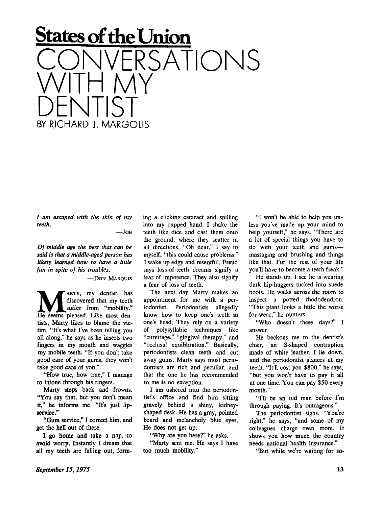## **States of the Union**  ERSATIONIS WILH MY<br>DEN ITIOT DENTIST<br>SY BICHARD I MARCOU BY RICHARD J. MARGOLIS

*/ am escaped with the skin of my teeth.* 

**—JO B** 

*Of middle age the best that can be said is that a middle-aged person has likely learned how to have a little fun in spite of his troubles.* 

 $-$ DON MAROUIS

**MARTY**, my dentist, has discovered that my teeth suffer from "mobility."<br>He seems pleased. Like most den-**ARTY**, my dentist, has discovered that my teeth suffer from "mobility." tists, Marty likes to blame the victim. "It's what I've been telling you all along," he says as he inserts two fingers in my mouth and waggles my mobile teeth. "If you don't take good care of your gums, they won't take good care of you."

"How true, how true," I manage to intone through his fingers.

Marty steps back and frowns. "You say that, but you don't mean it," he informs me. "It's just lipservice."

"Gum service," I correct him, and get the hell out of there.

I go home and take a nap, to avoid worry. Instantly I dream that all my teeth are falling out, forming a clicking cataract and spilling into my cupped hand. I shake the teeth like dice and cast them onto the ground, where they scatter in all directions. "Oh dear," I say to myself, "this could cause problems." I wake up edgy and resentful. Freud says loss-of-teeth dreams signify a fear of impotence. They also signify a fear of loss of teeth.

The next day Marty makes an appointment for me with a periodontist. Periodontists allegedly know how to keep one's teeth in one's head. They rely on a variety of polysyllabic techniques like "curettage," "gingival therapy," and "occlusal equilibration." Basically, periodontists clean teeth and cut away gums. Marty says most periodontists are rich and peculiar, and that the one he has recommended to me is no exception.

I am ushered into the periodontist's office and find him sitting gravely behind a shiny, kidneyshaped desk. He has a gray, pointed beard and melancholy blue eyes. He does not get up.

"Why are you here?" he asks.

"Marty sent me. He says I have too much mobility."

"I won't be able to help you unless you've made up your mind to help yourself," he says. "There are a lot of special things you have to do with your teeth and gums massaging and brushing and things like that. For the rest of your life you'll have to become a teeth freak."

He stands up. I see he is wearing dark hip-huggers tucked into suede boots. He walks across the room to inspect a potted rhododendron. "This plant looks a little the worse for wear," he mutters.

"Who doesn't these days?" I answer.

He beckons me to the dentist's chair, an S-shaped contraption made of white leather. I lie down, and the periodontist glances at my teeth. "It'll cost you \$800," he says, "but you won't have to pay it all at one time. You can pay \$50 every month."

"I'll be an old man before I'm through paying. It's outrageous."

The periodontist sighs. "You're right," he says, "and some of my colleagues charge even more. It shows you how much the country needs national health insurance."

"But while we're waiting for so-